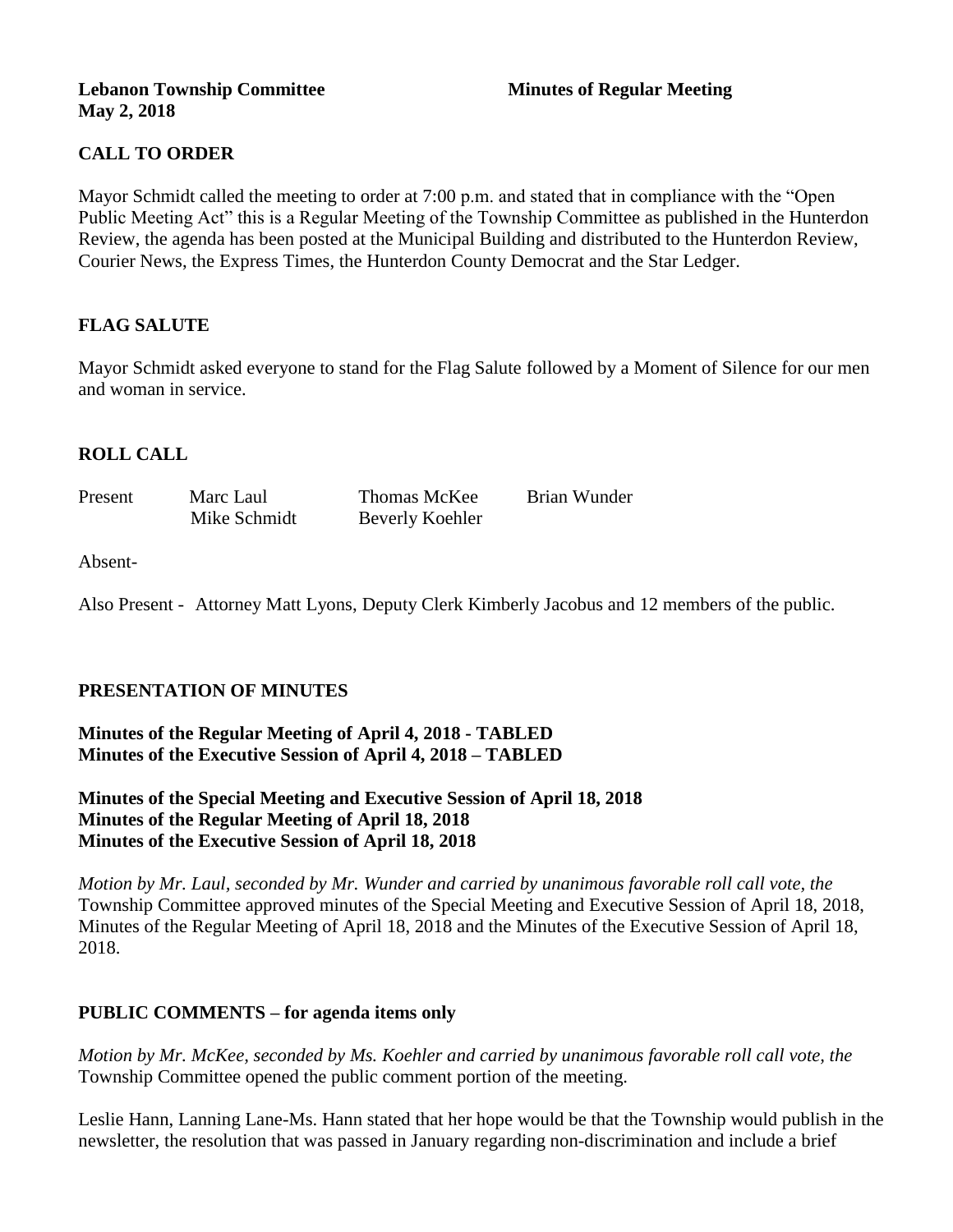#### **Lebanon Township Committee 3 2008 Minutes of Regular Meeting May 2, 2018**

# **CALL TO ORDER**

Mayor Schmidt called the meeting to order at 7:00 p.m. and stated that in compliance with the "Open Public Meeting Act" this is a Regular Meeting of the Township Committee as published in the Hunterdon Review, the agenda has been posted at the Municipal Building and distributed to the Hunterdon Review, Courier News, the Express Times, the Hunterdon County Democrat and the Star Ledger.

## **FLAG SALUTE**

Mayor Schmidt asked everyone to stand for the Flag Salute followed by a Moment of Silence for our men and woman in service.

## **ROLL CALL**

| Present | Marc Laul    | Thomas McKee    | Brian Wunder |
|---------|--------------|-----------------|--------------|
|         | Mike Schmidt | Beverly Koehler |              |

#### Absent-

Also Present - Attorney Matt Lyons, Deputy Clerk Kimberly Jacobus and 12 members of the public.

## **PRESENTATION OF MINUTES**

**Minutes of the Regular Meeting of April 4, 2018 - TABLED Minutes of the Executive Session of April 4, 2018 – TABLED**

**Minutes of the Special Meeting and Executive Session of April 18, 2018 Minutes of the Regular Meeting of April 18, 2018 Minutes of the Executive Session of April 18, 2018**

*Motion by Mr. Laul, seconded by Mr. Wunder and carried by unanimous favorable roll call vote, the*  Township Committee approved minutes of the Special Meeting and Executive Session of April 18, 2018, Minutes of the Regular Meeting of April 18, 2018 and the Minutes of the Executive Session of April 18, 2018.

#### **PUBLIC COMMENTS – for agenda items only**

*Motion by Mr. McKee, seconded by Ms. Koehler and carried by unanimous favorable roll call vote, the*  Township Committee opened the public comment portion of the meeting.

Leslie Hann, Lanning Lane-Ms. Hann stated that her hope would be that the Township would publish in the newsletter, the resolution that was passed in January regarding non-discrimination and include a brief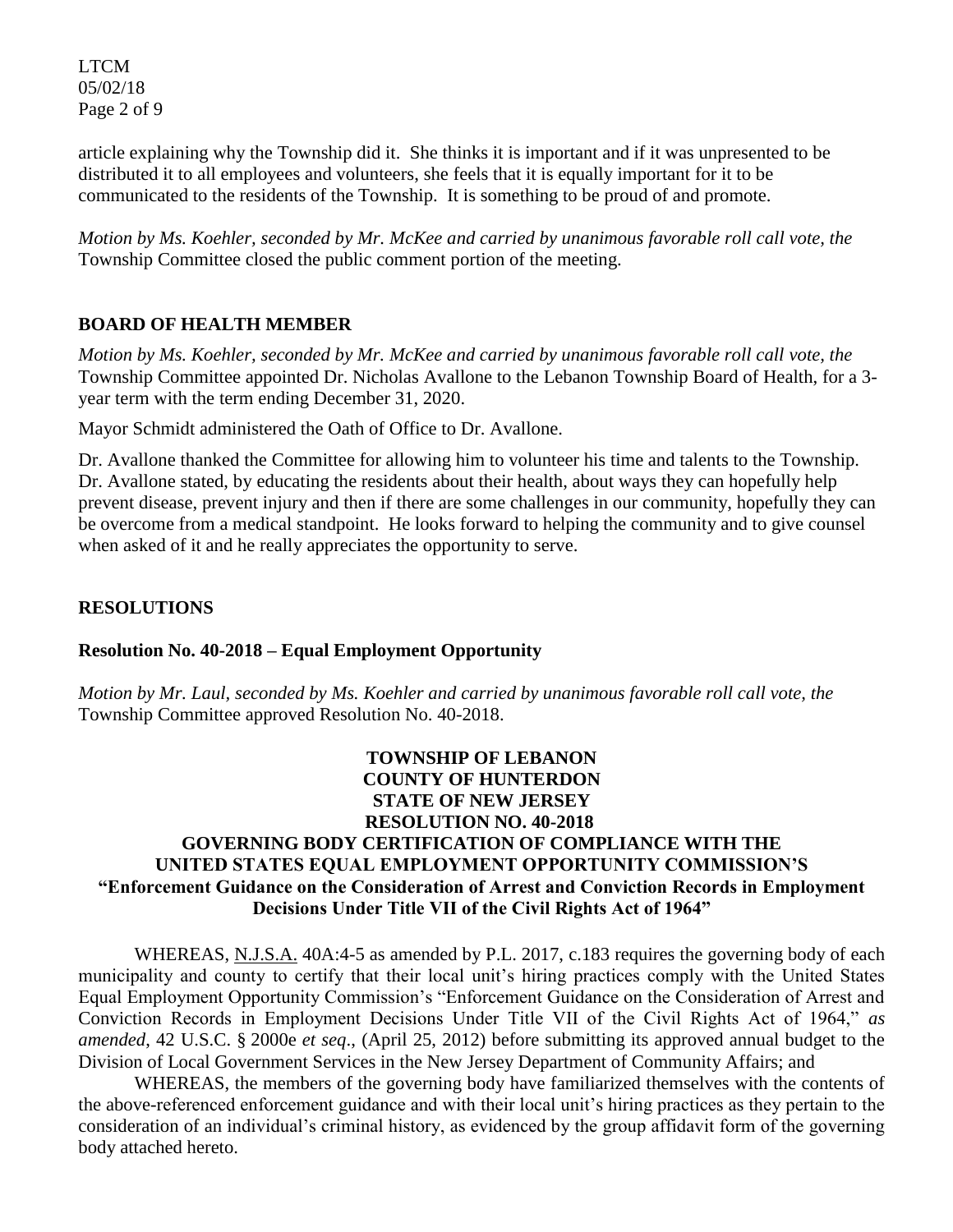LTCM 05/02/18 Page 2 of 9

article explaining why the Township did it. She thinks it is important and if it was unpresented to be distributed it to all employees and volunteers, she feels that it is equally important for it to be communicated to the residents of the Township. It is something to be proud of and promote.

*Motion by Ms. Koehler, seconded by Mr. McKee and carried by unanimous favorable roll call vote, the*  Township Committee closed the public comment portion of the meeting.

# **BOARD OF HEALTH MEMBER**

*Motion by Ms. Koehler, seconded by Mr. McKee and carried by unanimous favorable roll call vote, the*  Township Committee appointed Dr. Nicholas Avallone to the Lebanon Township Board of Health, for a 3 year term with the term ending December 31, 2020.

Mayor Schmidt administered the Oath of Office to Dr. Avallone.

Dr. Avallone thanked the Committee for allowing him to volunteer his time and talents to the Township. Dr. Avallone stated, by educating the residents about their health, about ways they can hopefully help prevent disease, prevent injury and then if there are some challenges in our community, hopefully they can be overcome from a medical standpoint. He looks forward to helping the community and to give counsel when asked of it and he really appreciates the opportunity to serve.

# **RESOLUTIONS**

## **Resolution No. 40-2018 – Equal Employment Opportunity**

*Motion by Mr. Laul, seconded by Ms. Koehler and carried by unanimous favorable roll call vote, the*  Township Committee approved Resolution No. 40-2018.

## **TOWNSHIP OF LEBANON COUNTY OF HUNTERDON STATE OF NEW JERSEY RESOLUTION NO. 40-2018 GOVERNING BODY CERTIFICATION OF COMPLIANCE WITH THE UNITED STATES EQUAL EMPLOYMENT OPPORTUNITY COMMISSION'S "Enforcement Guidance on the Consideration of Arrest and Conviction Records in Employment Decisions Under Title VII of the Civil Rights Act of 1964"**

WHEREAS, N.J.S.A. 40A:4-5 as amended by P.L. 2017, c.183 requires the governing body of each municipality and county to certify that their local unit's hiring practices comply with the United States Equal Employment Opportunity Commission's "Enforcement Guidance on the Consideration of Arrest and Conviction Records in Employment Decisions Under Title VII of the Civil Rights Act of 1964," *as amended*, 42 U.S.C. § 2000e *et seq*., (April 25, 2012) before submitting its approved annual budget to the Division of Local Government Services in the New Jersey Department of Community Affairs; and

WHEREAS, the members of the governing body have familiarized themselves with the contents of the above-referenced enforcement guidance and with their local unit's hiring practices as they pertain to the consideration of an individual's criminal history, as evidenced by the group affidavit form of the governing body attached hereto.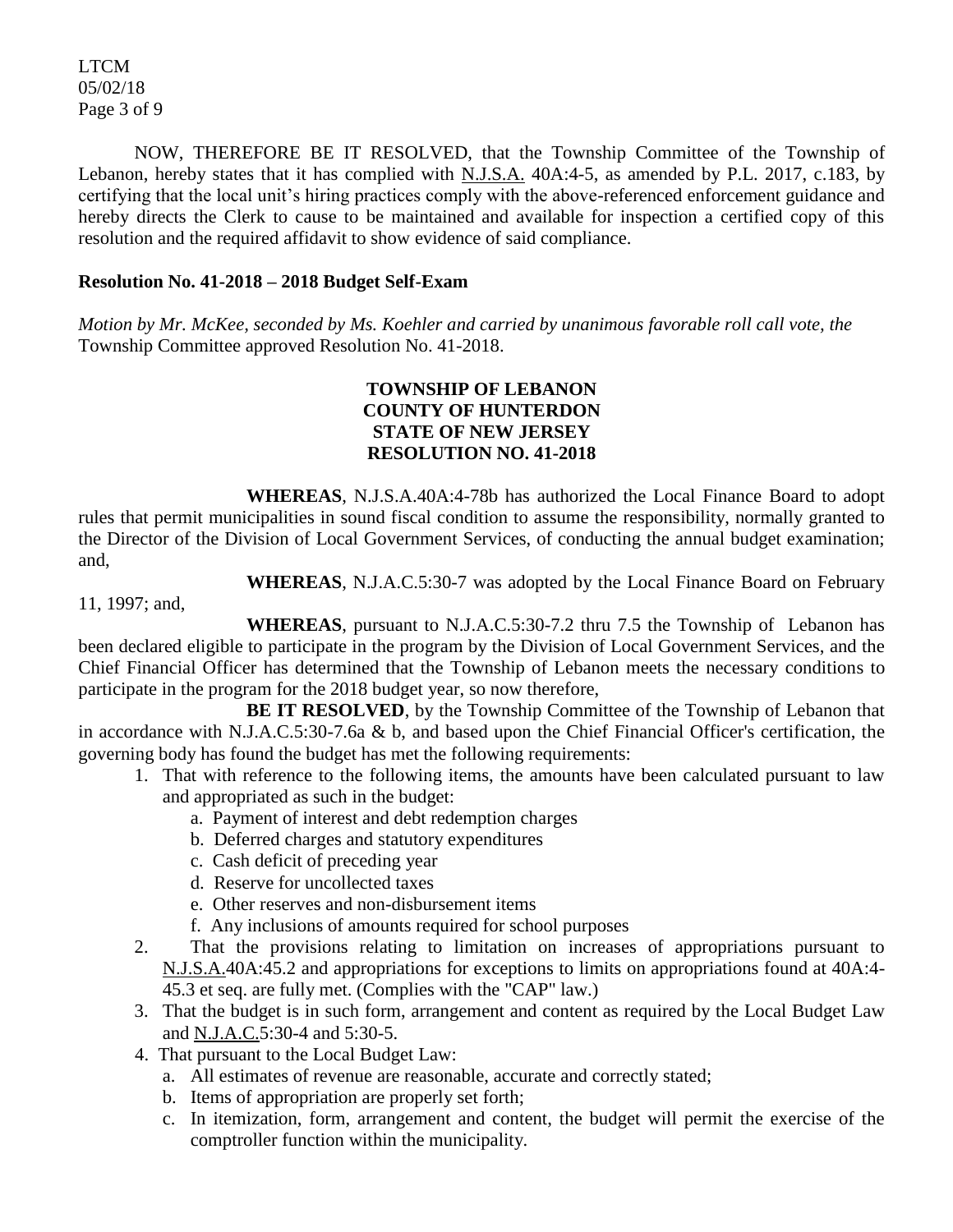LTCM 05/02/18 Page 3 of 9

NOW, THEREFORE BE IT RESOLVED, that the Township Committee of the Township of Lebanon, hereby states that it has complied with N.J.S.A. 40A:4-5, as amended by P.L. 2017, c.183, by certifying that the local unit's hiring practices comply with the above-referenced enforcement guidance and hereby directs the Clerk to cause to be maintained and available for inspection a certified copy of this resolution and the required affidavit to show evidence of said compliance.

#### **Resolution No. 41-2018 – 2018 Budget Self-Exam**

*Motion by Mr. McKee, seconded by Ms. Koehler and carried by unanimous favorable roll call vote, the*  Township Committee approved Resolution No. 41-2018.

#### **TOWNSHIP OF LEBANON COUNTY OF HUNTERDON STATE OF NEW JERSEY RESOLUTION NO. 41-2018**

**WHEREAS**, N.J.S.A.40A:4-78b has authorized the Local Finance Board to adopt rules that permit municipalities in sound fiscal condition to assume the responsibility, normally granted to the Director of the Division of Local Government Services, of conducting the annual budget examination; and,

**WHEREAS**, N.J.A.C.5:30-7 was adopted by the Local Finance Board on February

11, 1997; and,

**WHEREAS**, pursuant to N.J.A.C.5:30-7.2 thru 7.5 the Township of Lebanon has been declared eligible to participate in the program by the Division of Local Government Services, and the Chief Financial Officer has determined that the Township of Lebanon meets the necessary conditions to participate in the program for the 2018 budget year, so now therefore,

**BE IT RESOLVED**, by the Township Committee of the Township of Lebanon that in accordance with N.J.A.C.5:30-7.6a & b, and based upon the Chief Financial Officer's certification, the governing body has found the budget has met the following requirements:

- 1. That with reference to the following items, the amounts have been calculated pursuant to law and appropriated as such in the budget:
	- a. Payment of interest and debt redemption charges
	- b. Deferred charges and statutory expenditures
	- c. Cash deficit of preceding year
	- d. Reserve for uncollected taxes
	- e. Other reserves and non-disbursement items
	- f. Any inclusions of amounts required for school purposes
- 2. That the provisions relating to limitation on increases of appropriations pursuant to N.J.S.A.40A:45.2 and appropriations for exceptions to limits on appropriations found at 40A:4- 45.3 et seq. are fully met. (Complies with the "CAP" law.)
- 3. That the budget is in such form, arrangement and content as required by the Local Budget Law and N.J.A.C.5:30-4 and 5:30-5.
- 4. That pursuant to the Local Budget Law:
	- a. All estimates of revenue are reasonable, accurate and correctly stated;
	- b. Items of appropriation are properly set forth;
	- c. In itemization, form, arrangement and content, the budget will permit the exercise of the comptroller function within the municipality.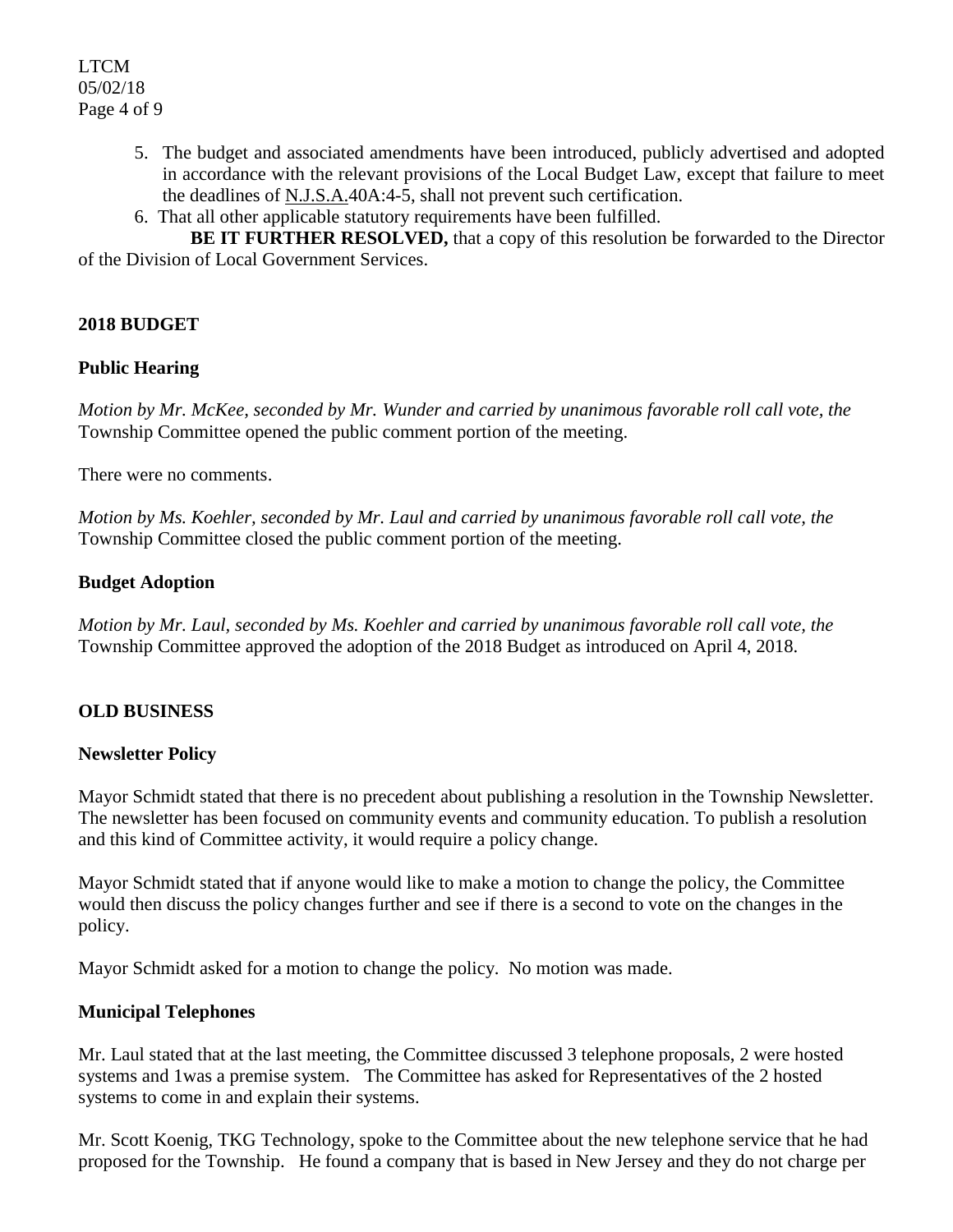- 5. The budget and associated amendments have been introduced, publicly advertised and adopted in accordance with the relevant provisions of the Local Budget Law, except that failure to meet the deadlines of N.J.S.A.40A:4-5, shall not prevent such certification.
- 6. That all other applicable statutory requirements have been fulfilled.

**BE IT FURTHER RESOLVED,** that a copy of this resolution be forwarded to the Director of the Division of Local Government Services.

# **2018 BUDGET**

## **Public Hearing**

*Motion by Mr. McKee, seconded by Mr. Wunder and carried by unanimous favorable roll call vote, the*  Township Committee opened the public comment portion of the meeting.

There were no comments.

*Motion by Ms. Koehler, seconded by Mr. Laul and carried by unanimous favorable roll call vote, the*  Township Committee closed the public comment portion of the meeting.

## **Budget Adoption**

*Motion by Mr. Laul, seconded by Ms. Koehler and carried by unanimous favorable roll call vote, the*  Township Committee approved the adoption of the 2018 Budget as introduced on April 4, 2018.

# **OLD BUSINESS**

## **Newsletter Policy**

Mayor Schmidt stated that there is no precedent about publishing a resolution in the Township Newsletter. The newsletter has been focused on community events and community education. To publish a resolution and this kind of Committee activity, it would require a policy change.

Mayor Schmidt stated that if anyone would like to make a motion to change the policy, the Committee would then discuss the policy changes further and see if there is a second to vote on the changes in the policy.

Mayor Schmidt asked for a motion to change the policy. No motion was made.

## **Municipal Telephones**

Mr. Laul stated that at the last meeting, the Committee discussed 3 telephone proposals, 2 were hosted systems and 1was a premise system. The Committee has asked for Representatives of the 2 hosted systems to come in and explain their systems.

Mr. Scott Koenig, TKG Technology, spoke to the Committee about the new telephone service that he had proposed for the Township. He found a company that is based in New Jersey and they do not charge per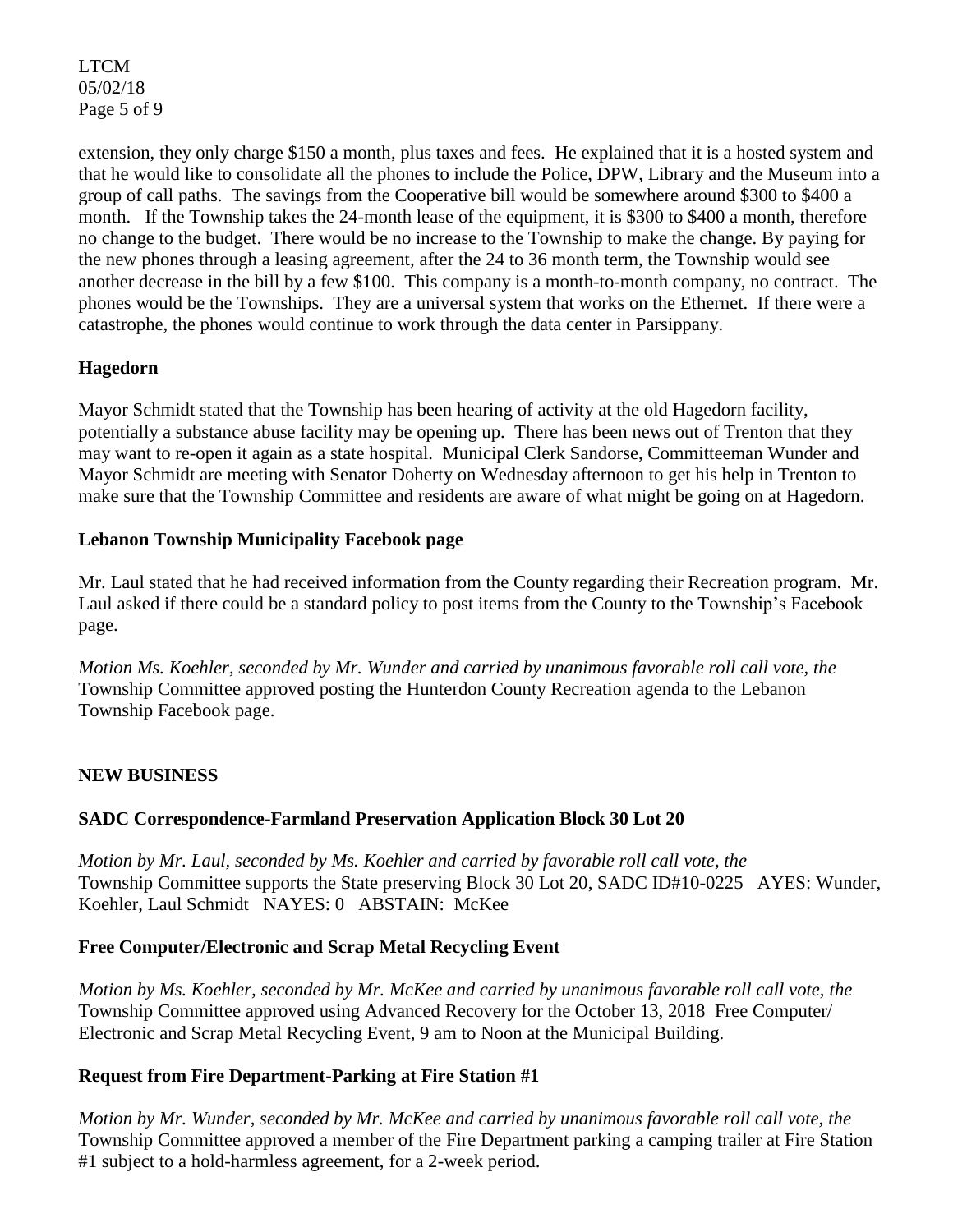LTCM 05/02/18 Page 5 of 9

extension, they only charge \$150 a month, plus taxes and fees. He explained that it is a hosted system and that he would like to consolidate all the phones to include the Police, DPW, Library and the Museum into a group of call paths. The savings from the Cooperative bill would be somewhere around \$300 to \$400 a month. If the Township takes the 24-month lease of the equipment, it is \$300 to \$400 a month, therefore no change to the budget. There would be no increase to the Township to make the change. By paying for the new phones through a leasing agreement, after the 24 to 36 month term, the Township would see another decrease in the bill by a few \$100. This company is a month-to-month company, no contract. The phones would be the Townships. They are a universal system that works on the Ethernet. If there were a catastrophe, the phones would continue to work through the data center in Parsippany.

# **Hagedorn**

Mayor Schmidt stated that the Township has been hearing of activity at the old Hagedorn facility, potentially a substance abuse facility may be opening up. There has been news out of Trenton that they may want to re-open it again as a state hospital. Municipal Clerk Sandorse, Committeeman Wunder and Mayor Schmidt are meeting with Senator Doherty on Wednesday afternoon to get his help in Trenton to make sure that the Township Committee and residents are aware of what might be going on at Hagedorn.

## **Lebanon Township Municipality Facebook page**

Mr. Laul stated that he had received information from the County regarding their Recreation program. Mr. Laul asked if there could be a standard policy to post items from the County to the Township's Facebook page.

*Motion Ms. Koehler, seconded by Mr. Wunder and carried by unanimous favorable roll call vote, the* Township Committee approved posting the Hunterdon County Recreation agenda to the Lebanon Township Facebook page.

## **NEW BUSINESS**

## **SADC Correspondence-Farmland Preservation Application Block 30 Lot 20**

*Motion by Mr. Laul, seconded by Ms. Koehler and carried by favorable roll call vote, the*  Township Committee supports the State preserving Block 30 Lot 20, SADC ID#10-0225 AYES: Wunder, Koehler, Laul Schmidt NAYES: 0 ABSTAIN: McKee

## **Free Computer/Electronic and Scrap Metal Recycling Event**

*Motion by Ms. Koehler, seconded by Mr. McKee and carried by unanimous favorable roll call vote, the*  Township Committee approved using Advanced Recovery for the October 13, 2018 Free Computer/ Electronic and Scrap Metal Recycling Event, 9 am to Noon at the Municipal Building.

## **Request from Fire Department-Parking at Fire Station #1**

*Motion by Mr. Wunder, seconded by Mr. McKee and carried by unanimous favorable roll call vote, the*  Township Committee approved a member of the Fire Department parking a camping trailer at Fire Station #1 subject to a hold-harmless agreement, for a 2-week period.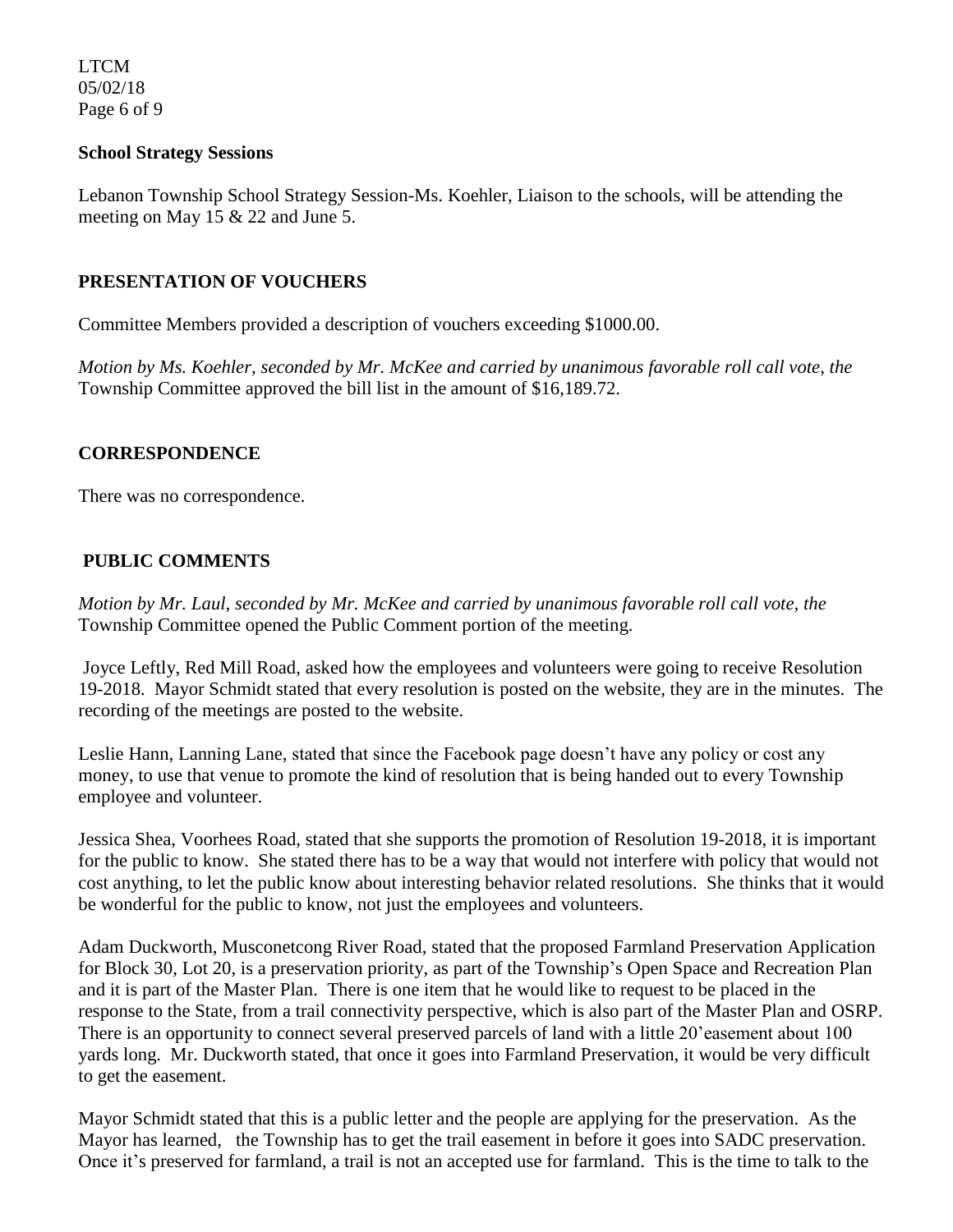LTCM 05/02/18 Page 6 of 9

#### **School Strategy Sessions**

Lebanon Township School Strategy Session-Ms. Koehler, Liaison to the schools, will be attending the meeting on May 15 & 22 and June 5.

## **PRESENTATION OF VOUCHERS**

Committee Members provided a description of vouchers exceeding \$1000.00.

*Motion by Ms. Koehler, seconded by Mr. McKee and carried by unanimous favorable roll call vote*, *the*  Township Committee approved the bill list in the amount of \$16,189.72.

#### **CORRESPONDENCE**

There was no correspondence.

## **PUBLIC COMMENTS**

*Motion by Mr. Laul, seconded by Mr. McKee and carried by unanimous favorable roll call vote, the*  Township Committee opened the Public Comment portion of the meeting.

Joyce Leftly, Red Mill Road, asked how the employees and volunteers were going to receive Resolution 19-2018. Mayor Schmidt stated that every resolution is posted on the website, they are in the minutes. The recording of the meetings are posted to the website.

Leslie Hann, Lanning Lane, stated that since the Facebook page doesn't have any policy or cost any money, to use that venue to promote the kind of resolution that is being handed out to every Township employee and volunteer.

Jessica Shea, Voorhees Road, stated that she supports the promotion of Resolution 19-2018, it is important for the public to know. She stated there has to be a way that would not interfere with policy that would not cost anything, to let the public know about interesting behavior related resolutions. She thinks that it would be wonderful for the public to know, not just the employees and volunteers.

Adam Duckworth, Musconetcong River Road, stated that the proposed Farmland Preservation Application for Block 30, Lot 20, is a preservation priority, as part of the Township's Open Space and Recreation Plan and it is part of the Master Plan. There is one item that he would like to request to be placed in the response to the State, from a trail connectivity perspective, which is also part of the Master Plan and OSRP. There is an opportunity to connect several preserved parcels of land with a little 20'easement about 100 yards long. Mr. Duckworth stated, that once it goes into Farmland Preservation, it would be very difficult to get the easement.

Mayor Schmidt stated that this is a public letter and the people are applying for the preservation. As the Mayor has learned, the Township has to get the trail easement in before it goes into SADC preservation. Once it's preserved for farmland, a trail is not an accepted use for farmland. This is the time to talk to the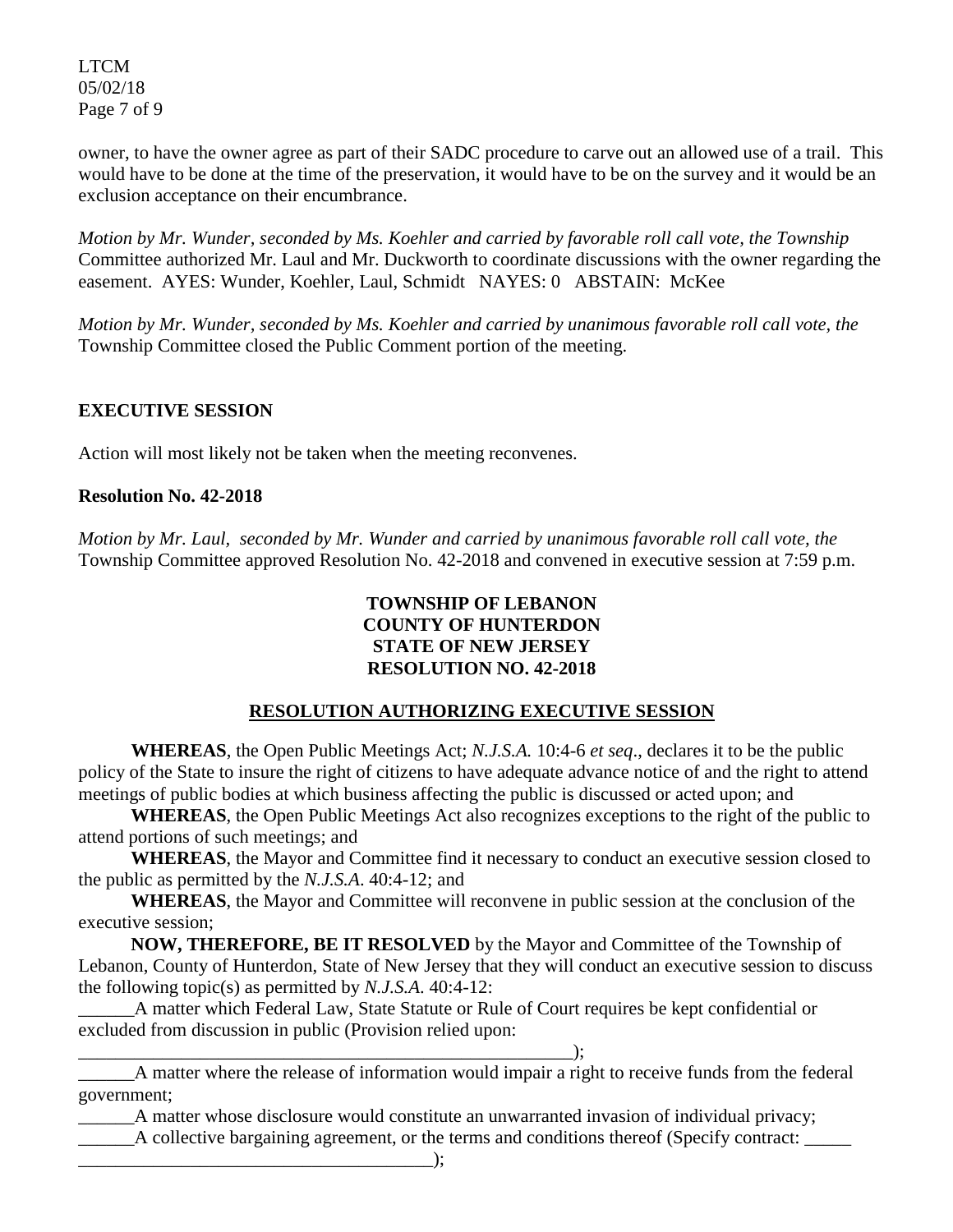LTCM 05/02/18 Page 7 of 9

owner, to have the owner agree as part of their SADC procedure to carve out an allowed use of a trail. This would have to be done at the time of the preservation, it would have to be on the survey and it would be an exclusion acceptance on their encumbrance.

*Motion by Mr. Wunder, seconded by Ms. Koehler and carried by favorable roll call vote, the Township*  Committee authorized Mr. Laul and Mr. Duckworth to coordinate discussions with the owner regarding the easement. AYES: Wunder, Koehler, Laul, Schmidt NAYES: 0 ABSTAIN: McKee

*Motion by Mr. Wunder, seconded by Ms. Koehler and carried by unanimous favorable roll call vote, the*  Township Committee closed the Public Comment portion of the meeting.

# **EXECUTIVE SESSION**

Action will most likely not be taken when the meeting reconvenes.

#### **Resolution No. 42-2018**

*Motion by Mr. Laul, seconded by Mr. Wunder and carried by unanimous favorable roll call vote, the* Township Committee approved Resolution No. 42-2018 and convened in executive session at 7:59 p.m.

#### **TOWNSHIP OF LEBANON COUNTY OF HUNTERDON STATE OF NEW JERSEY RESOLUTION NO. 42-2018**

## **RESOLUTION AUTHORIZING EXECUTIVE SESSION**

**WHEREAS**, the Open Public Meetings Act; *N.J.S.A.* 10:4-6 *et seq*., declares it to be the public policy of the State to insure the right of citizens to have adequate advance notice of and the right to attend meetings of public bodies at which business affecting the public is discussed or acted upon; and

**WHEREAS**, the Open Public Meetings Act also recognizes exceptions to the right of the public to attend portions of such meetings; and

**WHEREAS**, the Mayor and Committee find it necessary to conduct an executive session closed to the public as permitted by the *N.J.S.A*. 40:4-12; and

**WHEREAS**, the Mayor and Committee will reconvene in public session at the conclusion of the executive session;

**NOW, THEREFORE, BE IT RESOLVED** by the Mayor and Committee of the Township of Lebanon, County of Hunterdon, State of New Jersey that they will conduct an executive session to discuss the following topic(s) as permitted by *N.J.S.A*. 40:4-12:

\_\_\_\_\_\_A matter which Federal Law, State Statute or Rule of Court requires be kept confidential or excluded from discussion in public (Provision relied upon:

\_\_\_\_\_\_\_\_\_\_\_\_\_\_\_\_\_\_\_\_\_\_\_\_\_\_\_\_\_\_\_\_\_\_\_\_\_\_\_\_\_\_\_\_\_\_\_\_\_\_\_\_\_); \_\_\_\_\_\_A matter where the release of information would impair a right to receive funds from the federal government;

\_\_\_\_\_\_A matter whose disclosure would constitute an unwarranted invasion of individual privacy;

\_\_\_\_\_\_A collective bargaining agreement, or the terms and conditions thereof (Specify contract: \_\_\_\_\_

\_\_\_\_\_\_\_\_\_\_\_\_\_\_\_\_\_\_\_\_\_\_\_\_\_\_\_\_\_\_\_\_\_\_\_\_\_\_);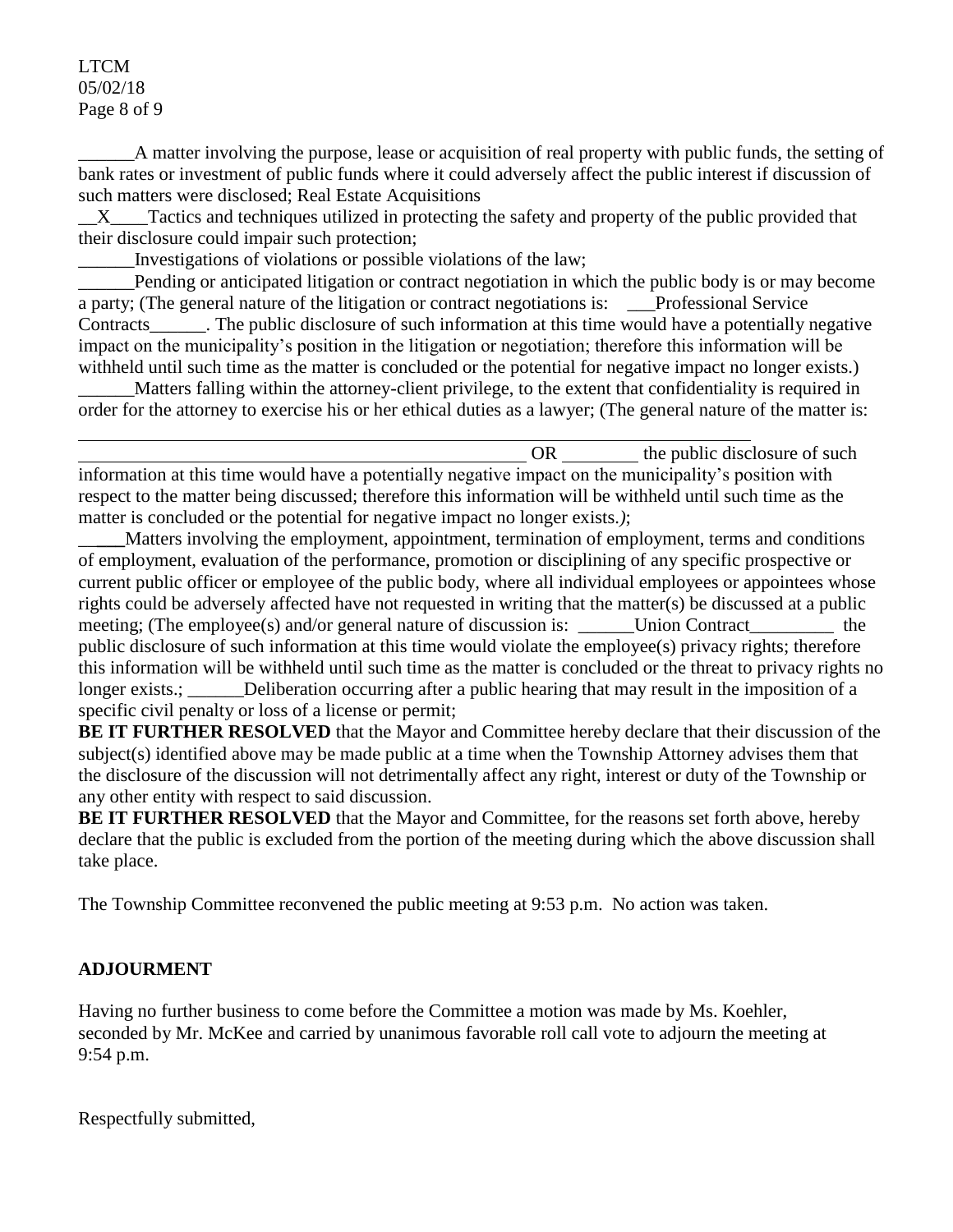#### LTCM 05/02/18 Page 8 of 9

\_\_\_\_\_\_A matter involving the purpose, lease or acquisition of real property with public funds, the setting of bank rates or investment of public funds where it could adversely affect the public interest if discussion of such matters were disclosed; Real Estate Acquisitions

X Tactics and techniques utilized in protecting the safety and property of the public provided that their disclosure could impair such protection;

\_\_\_\_\_\_Investigations of violations or possible violations of the law;

Pending or anticipated litigation or contract negotiation in which the public body is or may become a party; (The general nature of the litigation or contract negotiations is: \_\_\_Professional Service Contracts\_\_\_\_\_\_. The public disclosure of such information at this time would have a potentially negative impact on the municipality's position in the litigation or negotiation; therefore this information will be withheld until such time as the matter is concluded or the potential for negative impact no longer exists.)

\_\_\_\_\_\_Matters falling within the attorney-client privilege, to the extent that confidentiality is required in order for the attorney to exercise his or her ethical duties as a lawyer; (The general nature of the matter is:

OR the public disclosure of such  $\alpha$ information at this time would have a potentially negative impact on the municipality's position with respect to the matter being discussed; therefore this information will be withheld until such time as the matter is concluded or the potential for negative impact no longer exists.*)*;

\_\_**\_\_\_**Matters involving the employment, appointment, termination of employment, terms and conditions of employment, evaluation of the performance, promotion or disciplining of any specific prospective or current public officer or employee of the public body, where all individual employees or appointees whose rights could be adversely affected have not requested in writing that the matter(s) be discussed at a public meeting; (The employee(s) and/or general nature of discussion is: Union Contract the public disclosure of such information at this time would violate the employee(s) privacy rights; therefore this information will be withheld until such time as the matter is concluded or the threat to privacy rights no longer exists.; Deliberation occurring after a public hearing that may result in the imposition of a specific civil penalty or loss of a license or permit;

**BE IT FURTHER RESOLVED** that the Mayor and Committee hereby declare that their discussion of the subject(s) identified above may be made public at a time when the Township Attorney advises them that the disclosure of the discussion will not detrimentally affect any right, interest or duty of the Township or any other entity with respect to said discussion.

**BE IT FURTHER RESOLVED** that the Mayor and Committee, for the reasons set forth above, hereby declare that the public is excluded from the portion of the meeting during which the above discussion shall take place.

The Township Committee reconvened the public meeting at 9:53 p.m. No action was taken.

# **ADJOURMENT**

Having no further business to come before the Committee a motion was made by Ms. Koehler, seconded by Mr. McKee and carried by unanimous favorable roll call vote to adjourn the meeting at 9:54 p.m.

Respectfully submitted,